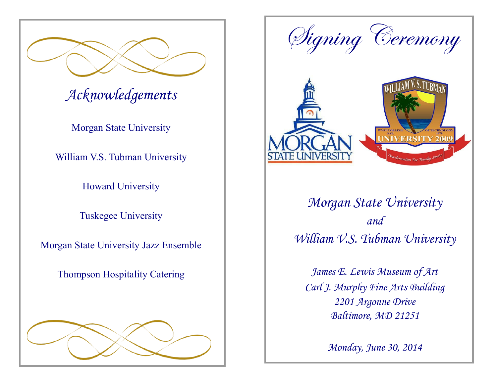

# *Acknowledgements*

Morgan State University

William V.S. Tubman University

Howard University

Tuskegee University

Morgan State University Jazz Ensemble

Thompson Hospitality Catering





*Morgan State University and William V.S. Tubman University*

*James E. Lewis Museum of Art Carl J. Murphy Fine Arts Building 2201 Argonne Drive Baltimore, MD 21251*

*Monday, June 30, 2014*